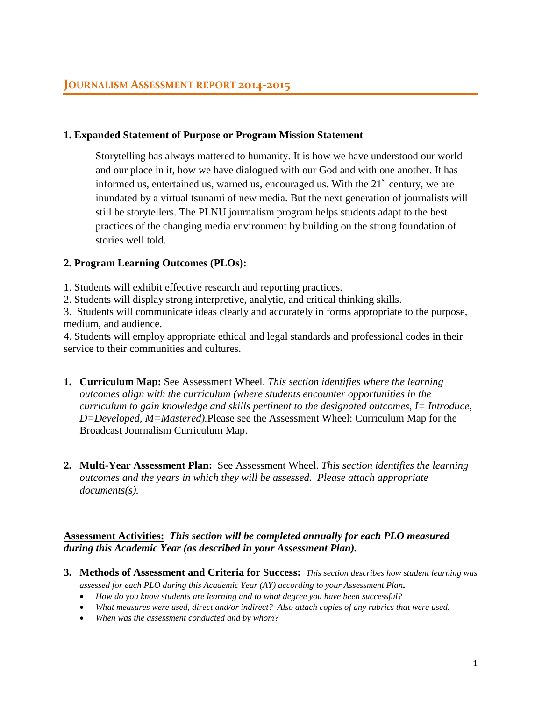## **1. Expanded Statement of Purpose or Program Mission Statement**

Storytelling has always mattered to humanity. It is how we have understood our world and our place in it, how we have dialogued with our God and with one another. It has informed us, entertained us, warned us, encouraged us. With the  $21<sup>st</sup>$  century, we are inundated by a virtual tsunami of new media. But the next generation of journalists will still be storytellers. The PLNU journalism program helps students adapt to the best practices of the changing media environment by building on the strong foundation of stories well told.

## **2. Program Learning Outcomes (PLOs):**

1. Students will exhibit effective research and reporting practices.

2. Students will display strong interpretive, analytic, and critical thinking skills.

3. Students will communicate ideas clearly and accurately in forms appropriate to the purpose, medium, and audience.

4. Students will employ appropriate ethical and legal standards and professional codes in their service to their communities and cultures.

- **1. Curriculum Map:** See Assessment Wheel. *This section identifies where the learning outcomes align with the curriculum (where students encounter opportunities in the curriculum to gain knowledge and skills pertinent to the designated outcomes, I= Introduce, D=Developed, M=Mastered).*Please see the Assessment Wheel: Curriculum Map for the Broadcast Journalism Curriculum Map.
- **2. Multi-Year Assessment Plan:** See Assessment Wheel. *This section identifies the learning outcomes and the years in which they will be assessed. Please attach appropriate documents(s).*

# **Assessment Activities:** *This section will be completed annually for each PLO measured during this Academic Year (as described in your Assessment Plan).*

- **3. Methods of Assessment and Criteria for Success:** *This section describes how student learning was assessed for each PLO during this Academic Year (AY) according to your Assessment Plan.*
	- *How do you know students are learning and to what degree you have been successful?*
	- *What measures were used, direct and/or indirect? Also attach copies of any rubrics that were used.*
	- *When was the assessment conducted and by whom?*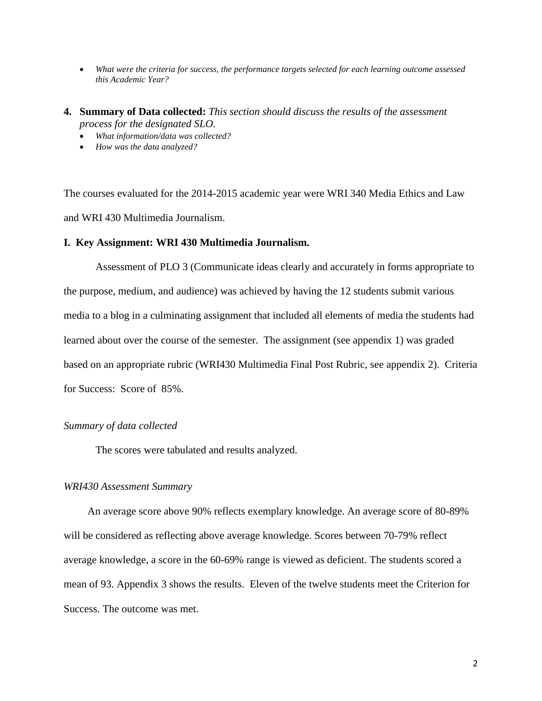- *What were the criteria for success, the performance targets selected for each learning outcome assessed this Academic Year?*
- **4. Summary of Data collected:** *This section should discuss the results of the assessment process for the designated SLO.*
	- *What information/data was collected?*
	- *How was the data analyzed?*

The courses evaluated for the 2014-2015 academic year were WRI 340 Media Ethics and Law and WRI 430 Multimedia Journalism.

### **I. Key Assignment: WRI 430 Multimedia Journalism.**

Assessment of PLO 3 (Communicate ideas clearly and accurately in forms appropriate to the purpose, medium, and audience) was achieved by having the 12 students submit various media to a blog in a culminating assignment that included all elements of media the students had learned about over the course of the semester. The assignment (see appendix 1) was graded based on an appropriate rubric (WRI430 Multimedia Final Post Rubric, see appendix 2). Criteria for Success: Score of 85%.

### *Summary of data collected*

The scores were tabulated and results analyzed.

### *WRI430 Assessment Summary*

An average score above 90% reflects exemplary knowledge. An average score of 80-89% will be considered as reflecting above average knowledge. Scores between 70-79% reflect average knowledge, a score in the 60-69% range is viewed as deficient. The students scored a mean of 93. Appendix 3 shows the results. Eleven of the twelve students meet the Criterion for Success. The outcome was met.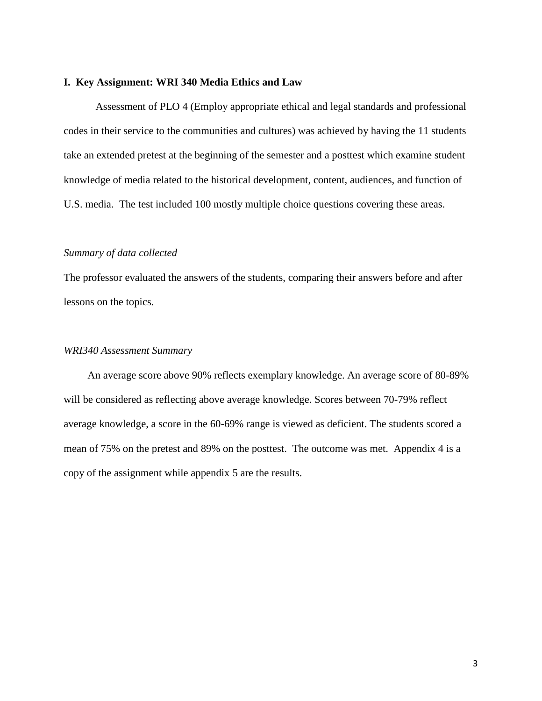### **I. Key Assignment: WRI 340 Media Ethics and Law**

Assessment of PLO 4 (Employ appropriate ethical and legal standards and professional codes in their service to the communities and cultures) was achieved by having the 11 students take an extended pretest at the beginning of the semester and a posttest which examine student knowledge of media related to the historical development, content, audiences, and function of U.S. media. The test included 100 mostly multiple choice questions covering these areas.

### *Summary of data collected*

The professor evaluated the answers of the students, comparing their answers before and after lessons on the topics.

### *WRI340 Assessment Summary*

An average score above 90% reflects exemplary knowledge. An average score of 80-89% will be considered as reflecting above average knowledge. Scores between 70-79% reflect average knowledge, a score in the 60-69% range is viewed as deficient. The students scored a mean of 75% on the pretest and 89% on the posttest. The outcome was met. Appendix 4 is a copy of the assignment while appendix 5 are the results.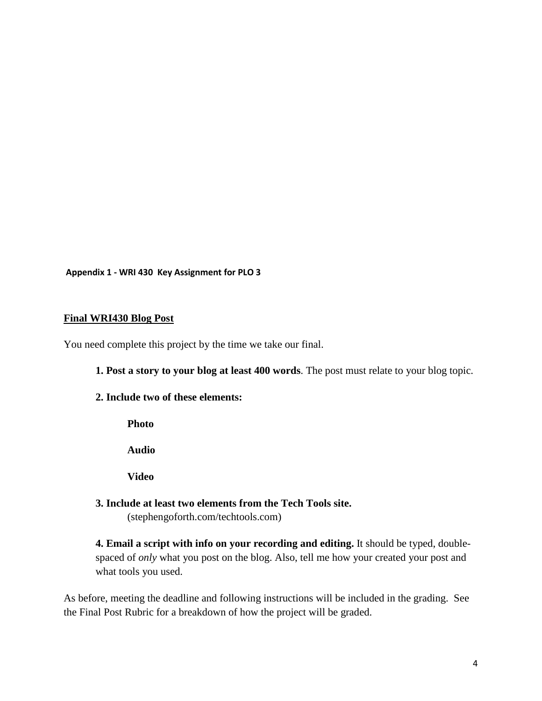**Appendix 1 - WRI 430 Key Assignment for PLO 3**

## **Final WRI430 Blog Post**

You need complete this project by the time we take our final.

**1. Post a story to your blog at least 400 words**. The post must relate to your blog topic.

**2. Include two of these elements:**

**Photo**

**Audio**

**Video**

**3. Include at least two elements from the Tech Tools site.** 

(stephengoforth.com/techtools.com)

**4. Email a script with info on your recording and editing.** It should be typed, doublespaced of *only* what you post on the blog. Also, tell me how your created your post and what tools you used.

As before, meeting the deadline and following instructions will be included in the grading. See the Final Post Rubric for a breakdown of how the project will be graded.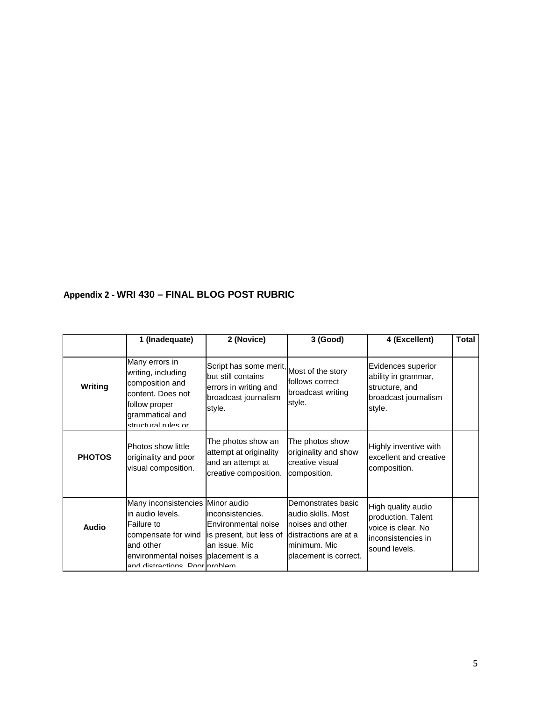# **Appendix 2 - WRI 430 – FINAL BLOG POST RUBRIC**

|                | 1 (Inadequate)                                                                                                                                                                 | 2 (Novice)                                                                                              | 3 (Good)                                                                                                                       | 4 (Excellent)                                                                                          | <b>Total</b> |
|----------------|--------------------------------------------------------------------------------------------------------------------------------------------------------------------------------|---------------------------------------------------------------------------------------------------------|--------------------------------------------------------------------------------------------------------------------------------|--------------------------------------------------------------------------------------------------------|--------------|
| <b>Writing</b> | Many errors in<br>writing, including<br>composition and<br>content. Does not<br>follow proper<br>grammatical and<br>structural rules or                                        | Script has some merit,<br>but still contains<br>errors in writing and<br>broadcast journalism<br>style. | Most of the story<br>follows correct<br>broadcast writing<br>style.                                                            | Evidences superior<br>ability in grammar,<br>structure, and<br>broadcast journalism<br>style.          |              |
| <b>PHOTOS</b>  | Photos show little<br>originality and poor<br>visual composition.                                                                                                              | The photos show an<br>attempt at originality<br>and an attempt at<br>creative composition.              | The photos show<br>originality and show<br>creative visual<br>composition.                                                     | Highly inventive with<br>excellent and creative<br>composition.                                        |              |
| Audio          | Many inconsistencies Minor audio<br>in audio levels.<br>Failure to<br>compensate for wind<br>and other<br>environmental noises placement is a<br>and dietractione Door nroblam | inconsistencies.<br>Environmental noise<br>is present, but less of<br>an issue. Mic                     | Demonstrates basic<br>audio skills. Most<br>noises and other<br>distractions are at a<br>minimum. Mic<br>placement is correct. | High quality audio<br>production. Talent<br>voice is clear. No<br>linconsistencies in<br>sound levels. |              |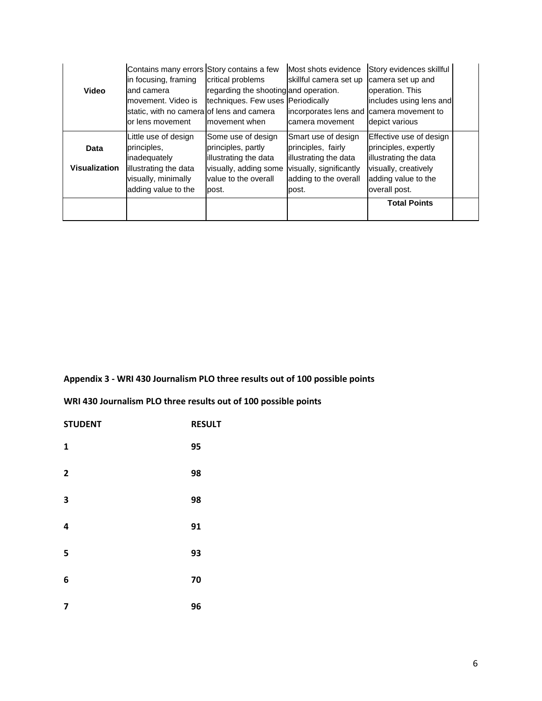|                      | Contains many errors Story contains a few |                                       | Most shots evidence     | Story evidences skillful |  |
|----------------------|-------------------------------------------|---------------------------------------|-------------------------|--------------------------|--|
|                      | in focusing, framing                      | critical problems                     | skillful camera set up  | camera set up and        |  |
| <b>Video</b>         | and camera                                | regarding the shooting and operation. |                         | operation. This          |  |
|                      | movement. Video is                        | techniques. Few uses Periodically     |                         | includes using lens and  |  |
|                      | static, with no camera of lens and camera |                                       | incorporates lens and   | camera movement to       |  |
|                      | lor lens movement                         | movement when                         | camera movement         | depict various           |  |
|                      | Little use of design                      | Some use of design                    | Smart use of design     | Effective use of design  |  |
| Data                 | principles,                               | principles, partly                    | principles, fairly      | principles, expertly     |  |
|                      | inadequately                              | illustrating the data                 | illustrating the data   | illustrating the data    |  |
| <b>Visualization</b> | illustrating the data                     | visually, adding some                 | visually, significantly | visually, creatively     |  |
|                      | visually, minimally                       | value to the overall                  | adding to the overall   | adding value to the      |  |
|                      | adding value to the                       | post.                                 | post.                   | overall post.            |  |
|                      |                                           |                                       |                         | <b>Total Points</b>      |  |
|                      |                                           |                                       |                         |                          |  |

# **Appendix 3 - WRI 430 Journalism PLO three results out of 100 possible points**

**WRI 430 Journalism PLO three results out of 100 possible points**

| <b>STUDENT</b> | <b>RESULT</b> |
|----------------|---------------|
| $\mathbf{1}$   | 95            |
| $\overline{2}$ | 98            |
| 3              | 98            |
| 4              | 91            |
| 5              | 93            |
| 6              | 70            |
| 7              | 96            |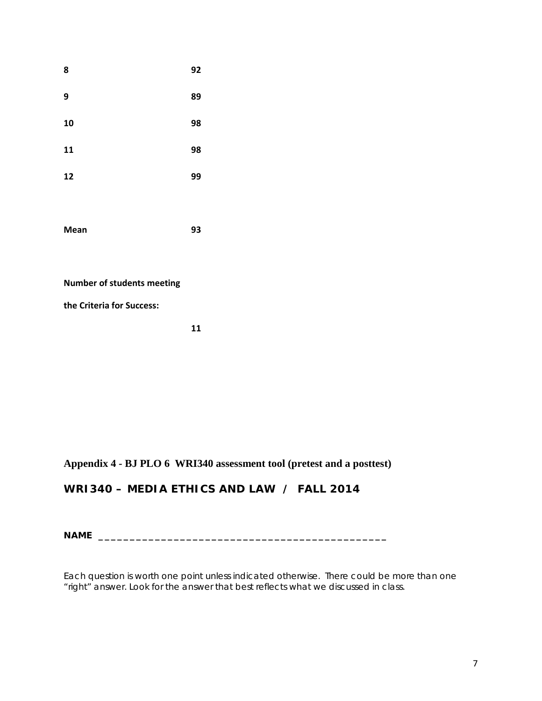| 8           | 92 |
|-------------|----|
| 9           | 89 |
| 10          | 98 |
| 11          | 98 |
| 12          | 99 |
|             |    |
| <b>Mean</b> | 93 |

**Number of students meeting**

**the Criteria for Success:**

**11**

# **Appendix 4 - BJ PLO 6 WRI340 assessment tool (pretest and a posttest)**

# **WRI340 – MEDIA ETHICS AND LAW / FALL 2014**

**NAME \_\_\_\_\_\_\_\_\_\_\_\_\_\_\_\_\_\_\_\_\_\_\_\_\_\_\_\_\_\_\_\_\_\_\_\_\_\_\_\_\_\_\_\_\_\_**

Each question is worth one point unless indicated otherwise. There could be more than one "right" answer. Look for the answer that best reflects what we discussed in class.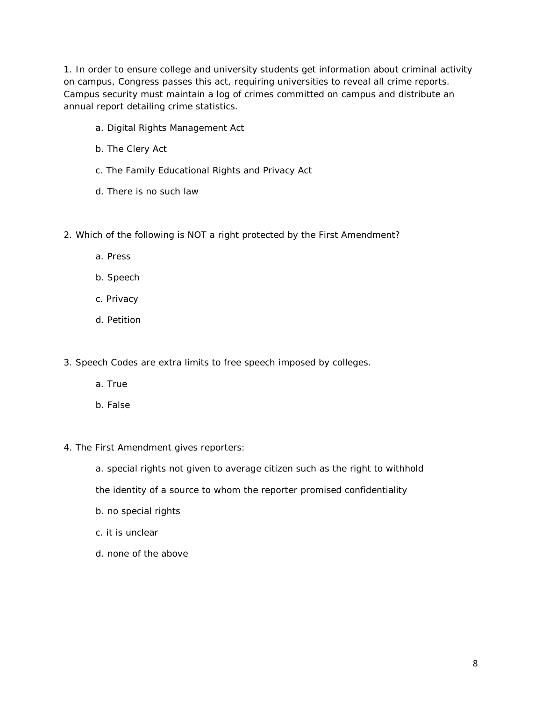1. In order to ensure college and university students get information about criminal activity on campus, Congress passes this act, requiring universities to reveal all crime reports. Campus security must maintain a log of crimes committed on campus and distribute an annual report detailing crime statistics.

- a. Digital Rights Management Act
- b. The Clery Act
- c. The Family Educational Rights and Privacy Act
- d. There is no such law
- 2. Which of the following is NOT a right protected by the First Amendment?
	- a. Press
	- b. Speech
	- c. Privacy
	- d. Petition
- 3. Speech Codes are extra limits to free speech imposed by colleges.
	- a. True
	- b. False
- 4. The First Amendment gives reporters:
	- a. special rights not given to average citizen such as the right to withhold
	- the identity of a source to whom the reporter promised confidentiality
	- b. no special rights
	- c. it is unclear
	- d. none of the above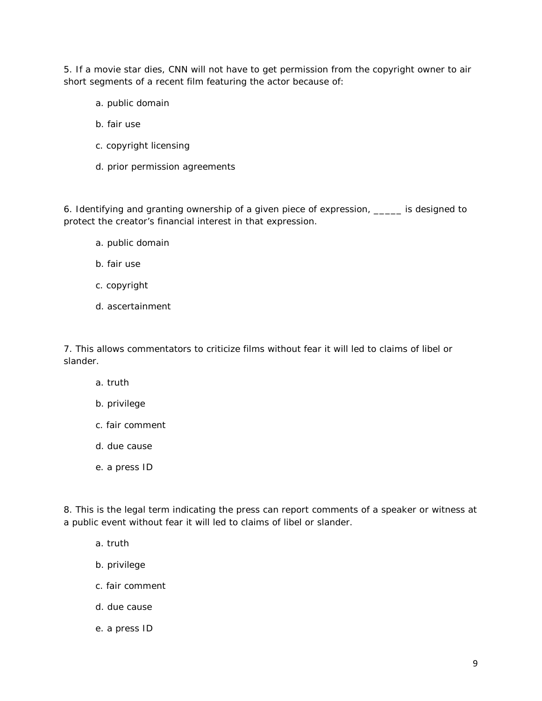5. If a movie star dies, CNN will not have to get permission from the copyright owner to air short segments of a recent film featuring the actor because of:

- a. public domain
- b. fair use
- c. copyright licensing
- d. prior permission agreements

6. Identifying and granting ownership of a given piece of expression, \_\_\_\_\_ is designed to protect the creator's financial interest in that expression.

- a. public domain
- b. fair use
- c. copyright
- d. ascertainment

7. This allows commentators to criticize films without fear it will led to claims of libel or slander.

- a. truth
- b. privilege
- c. fair comment
- d. due cause
- e. a press ID

8. This is the legal term indicating the press can report comments of a speaker or witness at a public event without fear it will led to claims of libel or slander.

- a. truth
- b. privilege
- c. fair comment
- d. due cause
- e. a press ID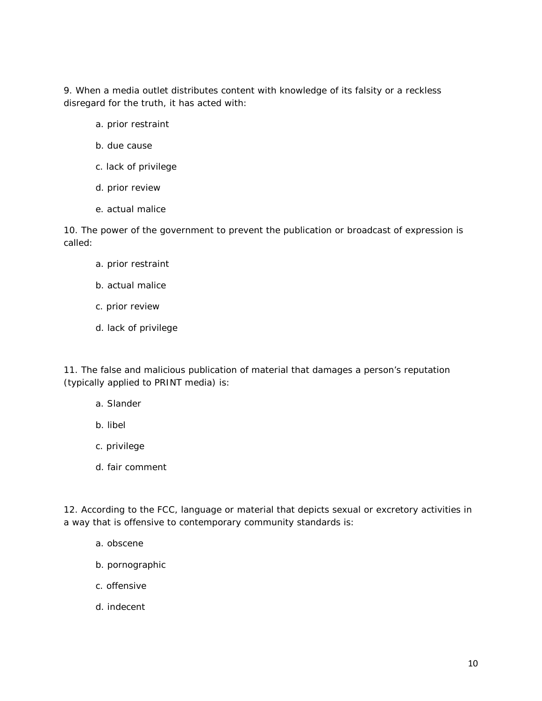9. When a media outlet distributes content with knowledge of its falsity or a reckless disregard for the truth, it has acted with:

- a. prior restraint
- b. due cause
- c. lack of privilege
- d. prior review
- e. actual malice

10. The power of the government to prevent the publication or broadcast of expression is called:

- a. prior restraint
- b. actual malice
- c. prior review
- d. lack of privilege

11. The false and malicious publication of material that damages a person's reputation (typically applied to PRINT media) is:

- a. Slander
- b. libel
- c. privilege
- d. fair comment

12. According to the FCC, language or material that depicts sexual or excretory activities in a way that is offensive to contemporary community standards is:

- a. obscene
- b. pornographic
- c. offensive
- d. indecent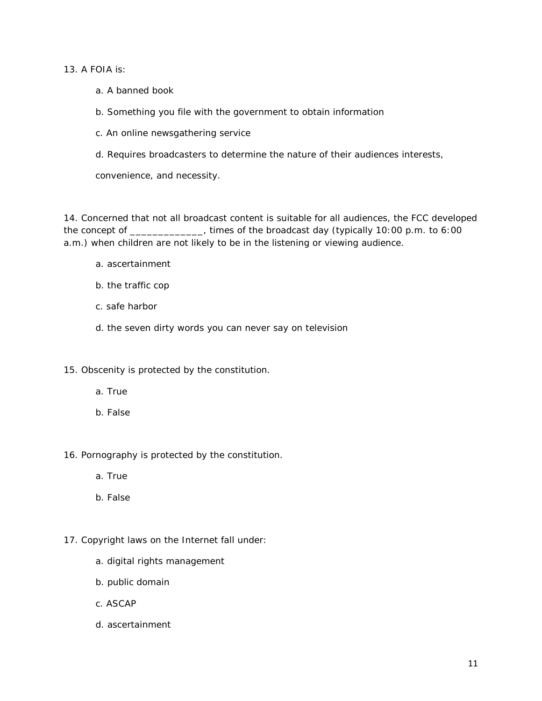13. A FOIA  $is:$ 

- a. A banned book
- b. Something you file with the government to obtain information
- c. An online newsgathering service
- d. Requires broadcasters to determine the nature of their audiences interests,

convenience, and necessity.

14. Concerned that not all broadcast content is suitable for all audiences, the FCC developed the concept of \_\_\_\_\_\_\_\_\_\_\_, times of the broadcast day (typically 10:00 p.m. to 6:00 a.m.) when children are not likely to be in the listening or viewing audience.

- a. ascertainment
- b. the traffic cop
- c. safe harbor
- d. the seven dirty words you can never say on television

15. Obscenity is protected by the constitution.

- a. True
- b. False

16. Pornography is protected by the constitution.

- a. True
- b. False

### 17. Copyright laws on the Internet fall under:

- a. digital rights management
- b. public domain
- c. ASCAP
- d. ascertainment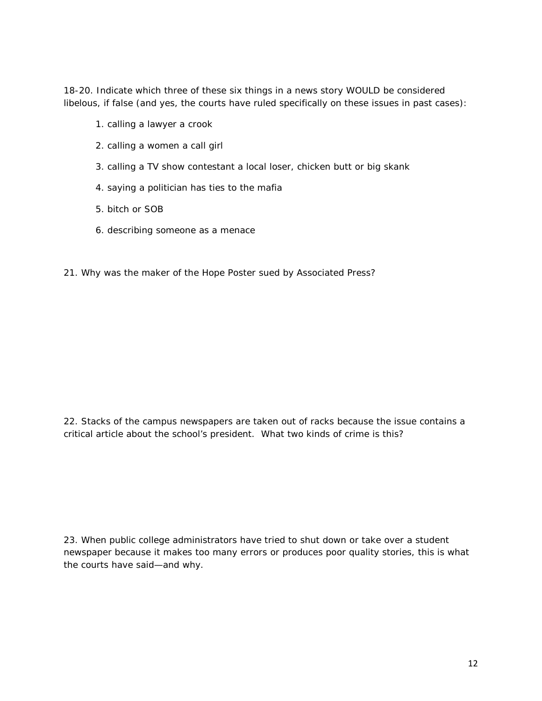18-20. Indicate which three of these six things in a news story WOULD be considered libelous, if false (and yes, the courts have ruled specifically on these issues in past cases):

- 1. calling a lawyer a crook
- 2. calling a women a call girl
- 3. calling a TV show contestant a local loser, chicken butt or big skank
- 4. saying a politician has ties to the mafia
- 5. bitch or SOB
- 6. describing someone as a menace
- 21. Why was the maker of the Hope Poster sued by Associated Press?

22. Stacks of the campus newspapers are taken out of racks because the issue contains a critical article about the school's president. What two kinds of crime is this?

23. When *public* college administrators have tried to shut down or take over a student newspaper because it makes too many errors or produces poor quality stories, this is what the courts have said—and why.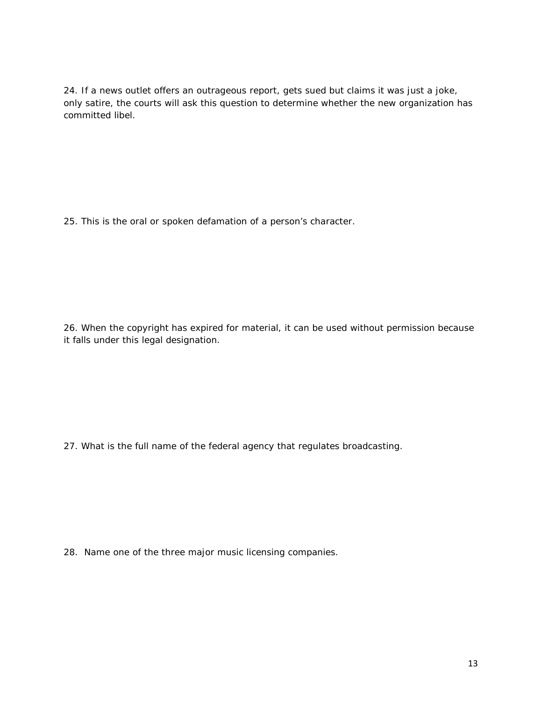24. If a news outlet offers an outrageous report, gets sued but claims it was just a joke, only satire, the courts will ask *this* question to determine whether the new organization has committed libel.

25. This is the *oral or spoken* defamation of a person's character.

26. When the copyright has expired for material, it can be used without permission because it falls under this legal designation.

27. What is the *full name* of the federal agency that regulates broadcasting.

28. Name one of the three major music licensing companies.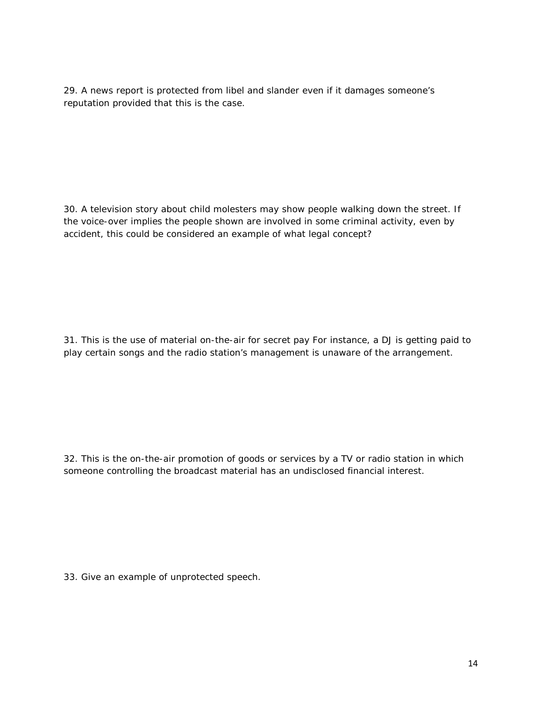29. A news report is protected from libel and slander even if it damages someone's reputation provided that *this* is the case.

30. A television story about child molesters may show people walking down the street. If the voice-over implies the people shown are involved in some criminal activity, even by accident, this could be considered an example of what legal concept?

31. This is the use of material on-the-air for secret pay For instance, a DJ is getting paid to play certain songs and the radio station's management is unaware of the arrangement.

32. This is the on-the-air promotion of goods or services by a TV or radio station in which someone controlling the broadcast material has an undisclosed financial interest.

33. Give an example of unprotected speech.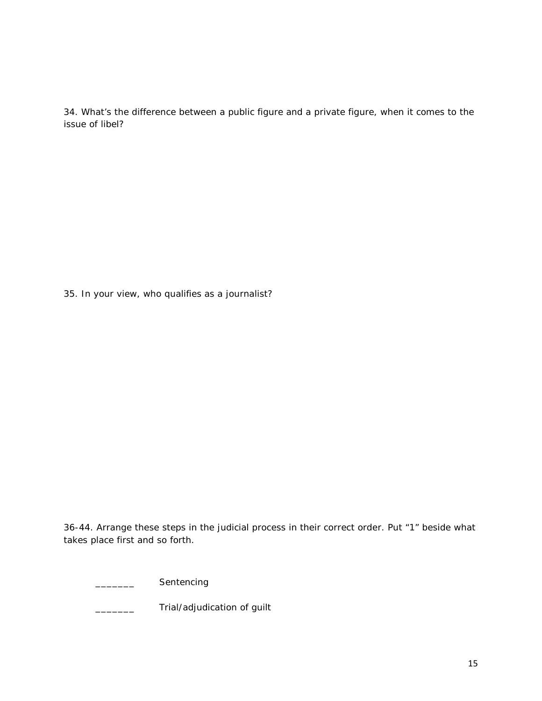34. What's the difference between a public figure and a private figure, when it comes to the issue of libel?

35. In your view, who qualifies as a journalist?

36-44. Arrange these steps in the judicial process in their correct order. Put "1" beside what takes place first and so forth.

\_\_\_\_\_\_\_ Sentencing

\_\_\_\_\_\_\_\_\_\_ Trial/adjudication of guilt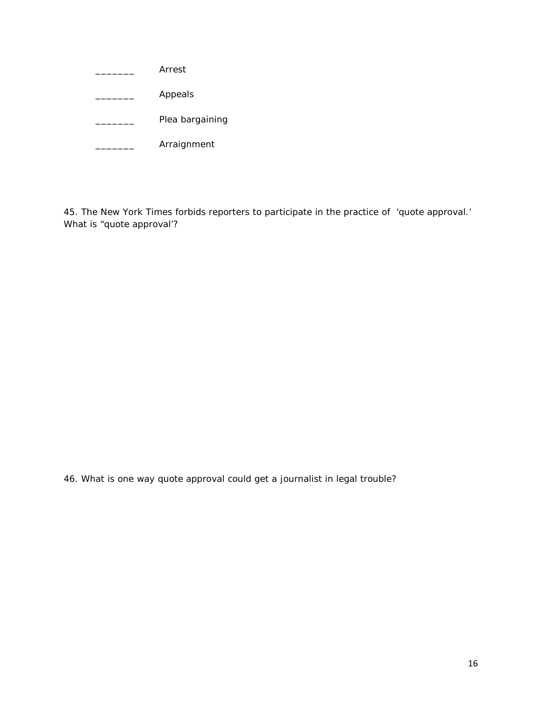| Arrest          |
|-----------------|
| Appeals         |
| Plea bargaining |
| Arraignment     |

45. The New York Times forbids reporters to participate in the practice of 'quote approval.' What is "quote approval'?

46. What is one way quote approval could get a journalist in legal trouble?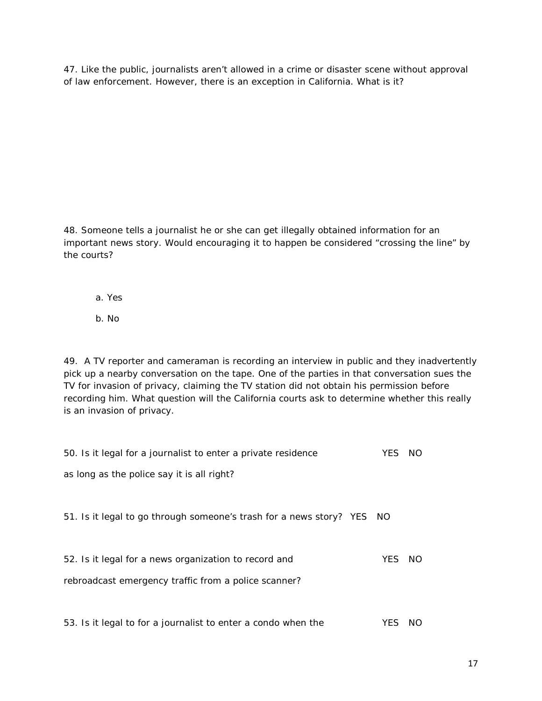47. Like the public, journalists aren't allowed in a crime or disaster scene without approval of law enforcement. However, there is an exception in California. What is it?

48. Someone tells a journalist he or she can get illegally obtained information for an important news story. Would encouraging it to happen be considered "crossing the line" by the courts?

- a. Yes
- b. No

49. A TV reporter and cameraman is recording an interview in public and they inadvertently pick up a nearby conversation on the tape. One of the parties in that conversation sues the TV for invasion of privacy, claiming the TV station did not obtain his permission before recording him. What question will the California courts ask to determine whether this really is an invasion of privacy.

| 50. Is it legal for a journalist to enter a private residence          | YES  | NO. |  |
|------------------------------------------------------------------------|------|-----|--|
| as long as the police say it is all right?                             |      |     |  |
|                                                                        |      |     |  |
| 51. Is it legal to go through someone's trash for a news story? YES NO |      |     |  |
|                                                                        |      |     |  |
| 52. Is it legal for a news organization to record and                  | YES  | NO. |  |
| rebroadcast emergency traffic from a police scanner?                   |      |     |  |
|                                                                        |      |     |  |
| 53. Is it legal to for a journalist to enter a condo when the          | YES. | NO. |  |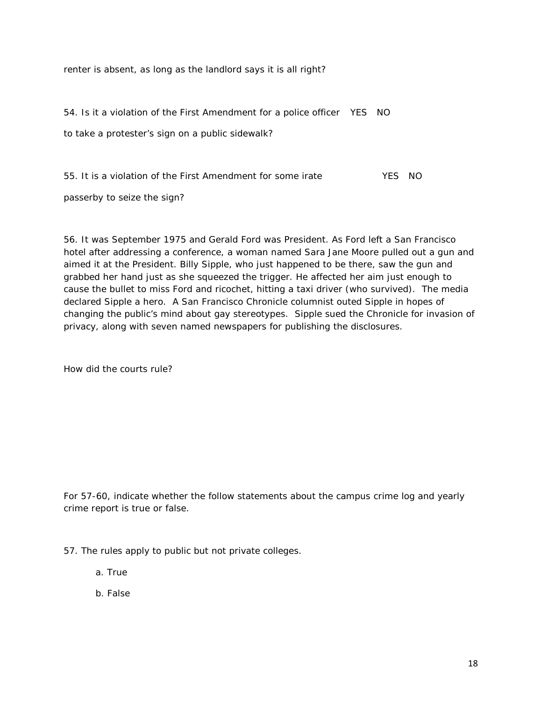renter is absent, as long as the landlord says it is all right?

54. Is it a violation of the First Amendment for a police officer YES NO to take a protester's sign on a public sidewalk?

55. It is a violation of the First Amendment for some irate The State YES NO

passerby to seize the sign?

56. It was September 1975 and Gerald Ford was President. As Ford left a San Francisco hotel after addressing a conference, a woman named Sara Jane Moore pulled out a gun and aimed it at the President. Billy Sipple, who just happened to be there, saw the gun and grabbed her hand just as she squeezed the trigger. He affected her aim just enough to cause the bullet to miss Ford and ricochet, hitting a taxi driver (who survived). The media declared Sipple a hero. A San Francisco Chronicle columnist outed Sipple in hopes of changing the public's mind about gay stereotypes. Sipple sued the Chronicle for invasion of privacy, along with seven named newspapers for publishing the disclosures.

How did the courts rule?

For 57-60, indicate whether the follow statements about the campus crime log and yearly crime report is true or false.

57. The rules apply to public but not private colleges.

a. True

b. False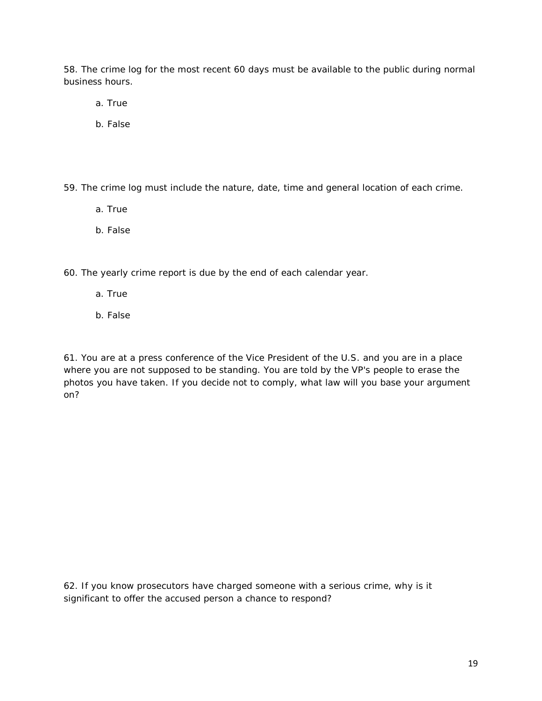58. The crime log for the most recent 60 days must be available to the public during normal business hours.

- a. True
- b. False

59. The crime log must include the nature, date, time and general location of each crime.

- a. True
- b. False

60. The yearly crime report is due by the end of each calendar year.

- a. True
- b. False

61. You are at a press conference of the Vice President of the U.S. and you are in a place where you are not supposed to be standing. You are told by the VP's people to erase the photos you have taken. If you decide not to comply, what law will you base your argument on?

62. If you know prosecutors have charged someone with a serious crime, why is it significant to offer the accused person a chance to respond?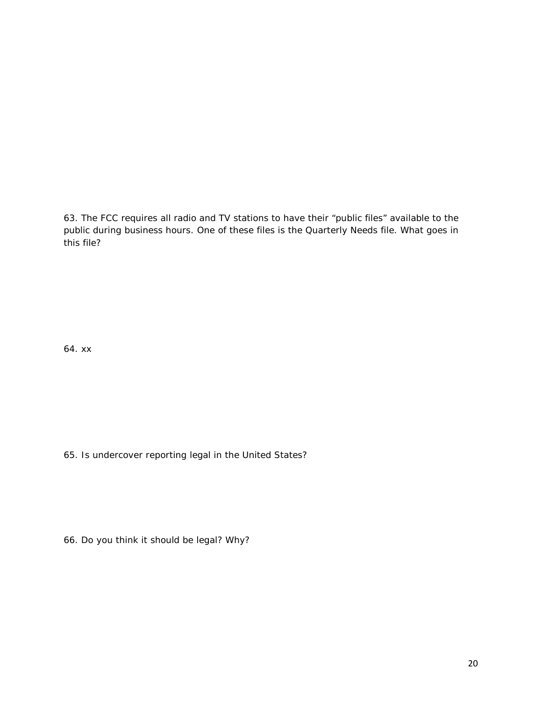63. The FCC requires all radio and TV stations to have their "public files" available to the public during business hours. One of these files is the Quarterly Needs file. What goes in this file?

64. xx

65. Is undercover reporting legal in the United States?

66. Do you think it *should* be legal? Why?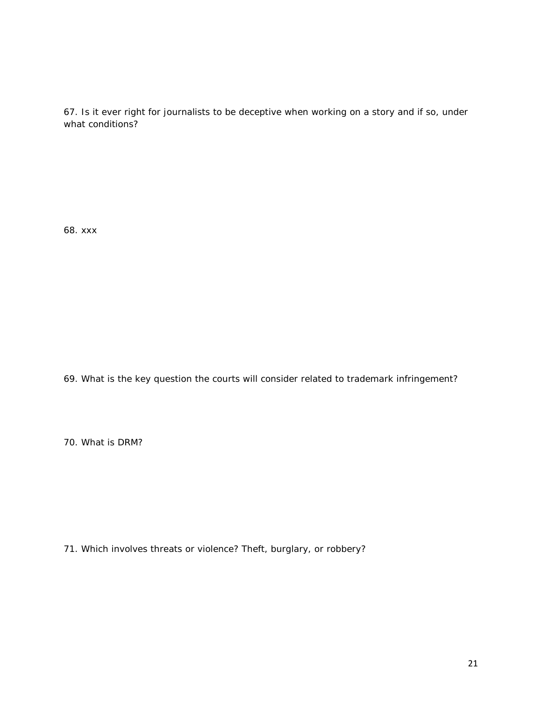67. Is it ever right for journalists to be deceptive when working on a story and if so, under what conditions?

68. xxx

69. What is the key question the courts will consider related to trademark infringement?

70. What is DRM?

71. Which involves threats or violence? Theft, burglary, or robbery?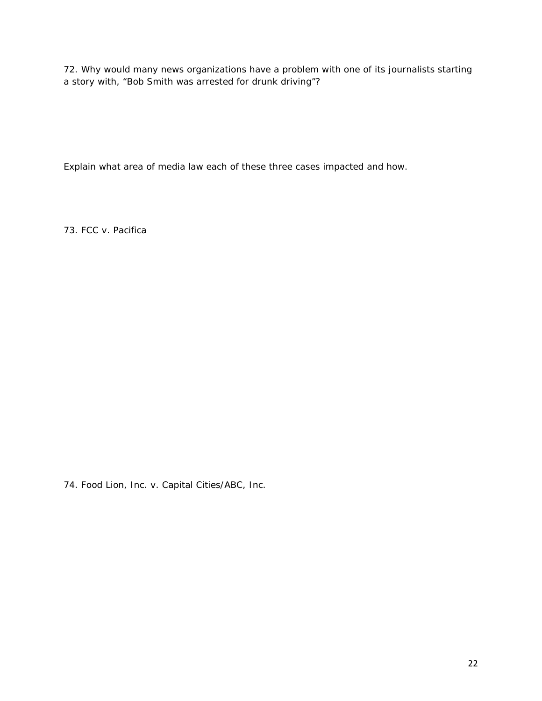72. Why would many news organizations have a problem with one of its journalists starting a story with, "Bob Smith was arrested for drunk driving"?

Explain what area of media law each of these three cases impacted and how.

73. FCC v. Pacifica

74. Food Lion, Inc. v. Capital Cities/ABC, Inc.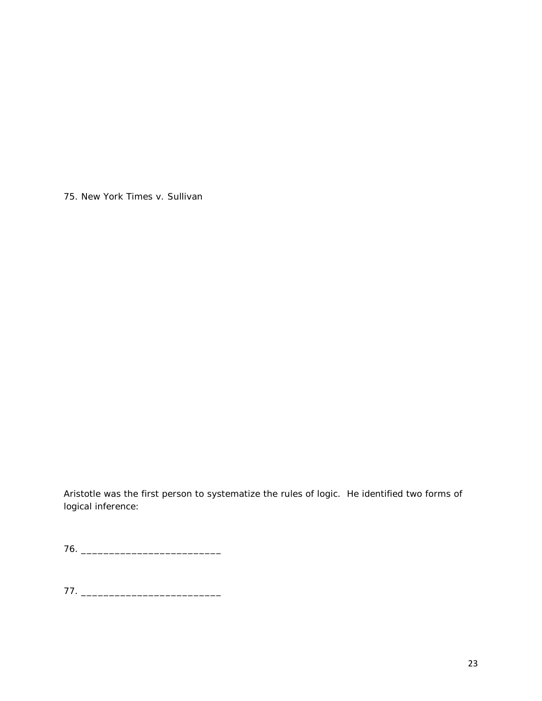75. New York Times v. Sullivan

Aristotle was the first person to systematize the rules of logic. He identified two forms of logical inference:

76. \_\_\_\_\_\_\_\_\_\_\_\_\_\_\_\_\_\_\_\_\_\_\_\_\_

77. \_\_\_\_\_\_\_\_\_\_\_\_\_\_\_\_\_\_\_\_\_\_\_\_\_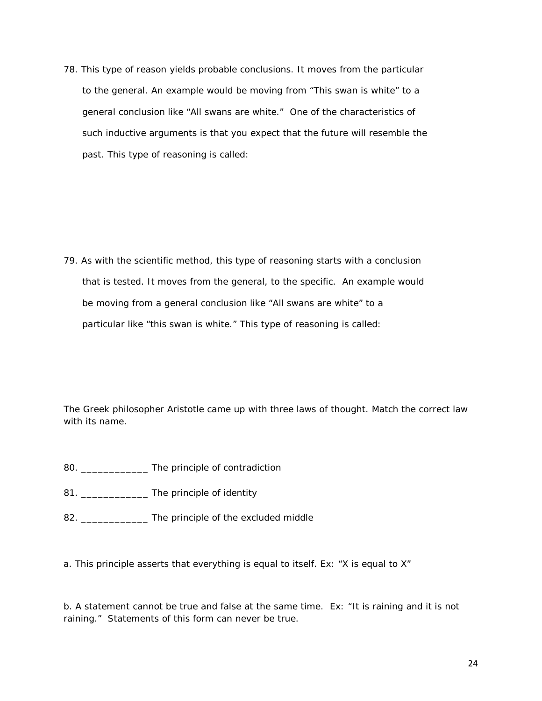78. This type of reason yields probable conclusions. It moves from the particular to the general. An example would be moving from "This swan is white" to a general conclusion like "All swans are white." One of the characteristics of such inductive arguments is that you expect that the future will resemble the past. This type of reasoning is called:

79. As with the scientific method, this type of reasoning starts with a conclusion that is tested. It moves from the general, to the specific. An example would be moving from a general conclusion like "All swans are white" to a particular like "this swan is white." This type of reasoning is called:

The Greek philosopher Aristotle came up with three laws of thought. Match the correct law with its name.

- 80. \_\_\_\_\_\_\_\_\_\_\_\_ The principle of contradiction
- 81. \_\_\_\_\_\_\_\_\_\_\_\_\_\_\_\_ The principle of identity
- 82. \_\_\_\_\_\_\_\_\_\_\_\_\_\_\_ The principle of the excluded middle

a. This principle asserts that everything is equal to itself. Ex: "X is equal to X"

b. A statement cannot be true and false at the same time. Ex: "It is raining and it is not raining." Statements of this form can never be true.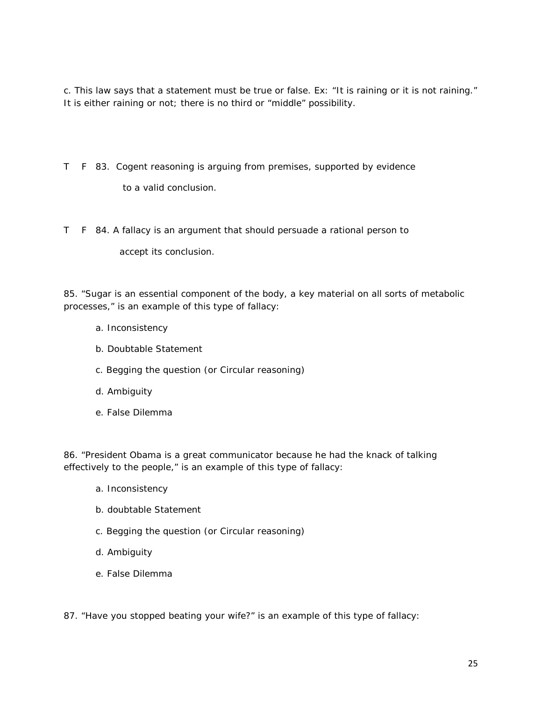c. This law says that a statement must be true or false. Ex: "It is raining or it is not raining." It is either raining or not; there is no third or "middle" possibility.

- T F 83. Cogent reasoning is arguing from premises, supported by evidence to a valid conclusion.
- T F 84. A fallacy is an argument that should persuade a rational person to

accept its conclusion.

85. "Sugar is an essential component of the body, a key material on all sorts of metabolic processes," is an example of this type of fallacy:

- a. Inconsistency
- b. Doubtable Statement
- c. Begging the question (or Circular reasoning)
- d. Ambiguity
- e. False Dilemma

86. "President Obama is a great communicator because he had the knack of talking effectively to the people," is an example of this type of fallacy:

- a. Inconsistency
- b. doubtable Statement
- c. Begging the question (or Circular reasoning)
- d. Ambiguity
- e. False Dilemma

87. "Have you stopped beating your wife?" is an example of this type of fallacy: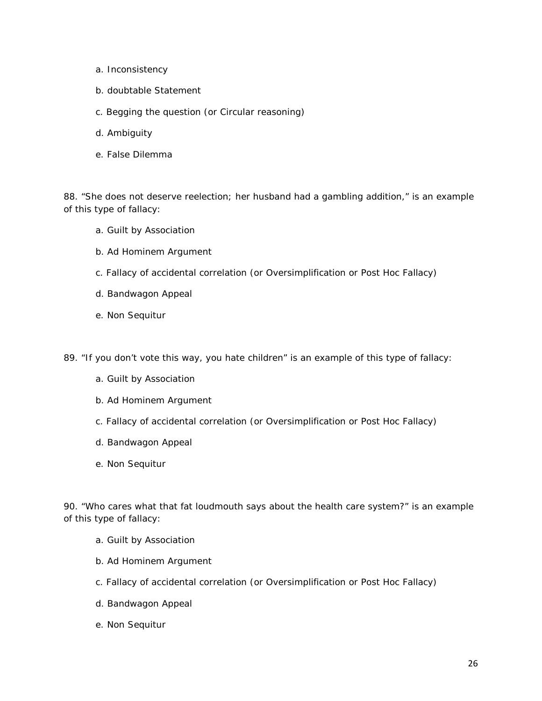- a. Inconsistency
- b. doubtable Statement
- c. Begging the question (or Circular reasoning)
- d. Ambiguity
- e. False Dilemma

88. "She does not deserve reelection; her husband had a gambling addition," is an example of this type of fallacy:

- a. Guilt by Association
- b. Ad Hominem Argument
- c. Fallacy of accidental correlation (or Oversimplification or Post Hoc Fallacy)
- d. Bandwagon Appeal
- e. Non Sequitur

89. "If you don't vote this way, you hate children" is an example of this type of fallacy:

- a. Guilt by Association
- b. Ad Hominem Argument
- c. Fallacy of accidental correlation (or Oversimplification or Post Hoc Fallacy)
- d. Bandwagon Appeal
- e. Non Sequitur

90. "Who cares what that fat loudmouth says about the health care system?" is an example of this type of fallacy:

- a. Guilt by Association
- b. Ad Hominem Argument
- c. Fallacy of accidental correlation (or Oversimplification or Post Hoc Fallacy)
- d. Bandwagon Appeal
- e. Non Sequitur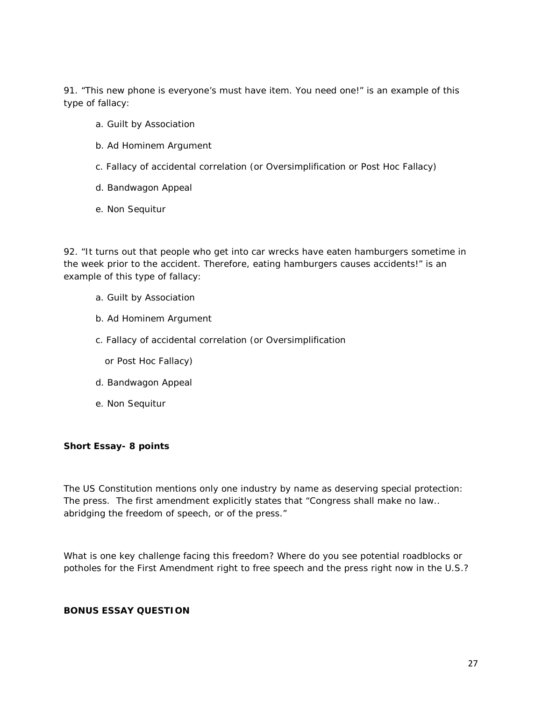91. "This new phone is everyone's must have item. You need one!" is an example of this type of fallacy:

- a. Guilt by Association
- b. Ad Hominem Argument
- c. Fallacy of accidental correlation (or Oversimplification or Post Hoc Fallacy)
- d. Bandwagon Appeal
- e. Non Sequitur

92. "It turns out that people who get into car wrecks have eaten hamburgers sometime in the week prior to the accident. Therefore, eating hamburgers causes accidents!" is an example of this type of fallacy:

- a. Guilt by Association
- b. Ad Hominem Argument
- c. Fallacy of accidental correlation (or Oversimplification
	- or Post Hoc Fallacy)
- d. Bandwagon Appeal
- e. Non Sequitur

### **Short Essay- 8 points**

The US Constitution mentions only one industry by name as deserving special protection: The press. The first amendment explicitly states that "Congress shall make no law.. abridging the freedom of speech, or of the press."

What is one key challenge facing this freedom? Where do you see potential roadblocks or potholes for the First Amendment right to free speech and the press right now in the U.S.?

## **BONUS ESSAY QUESTION**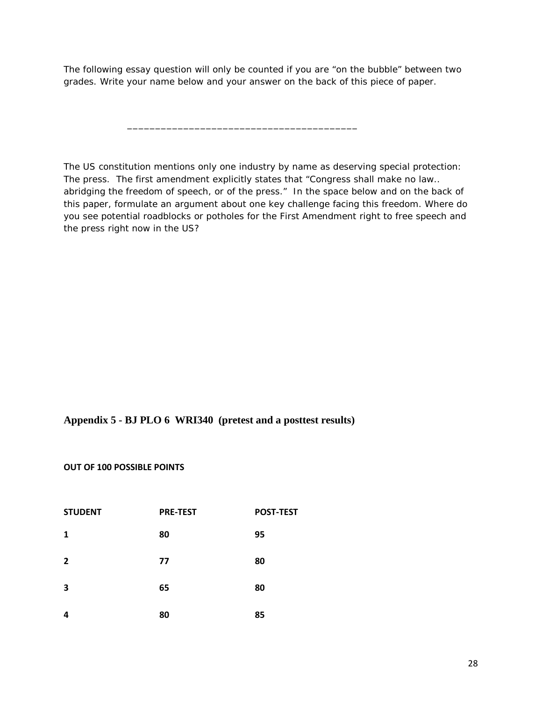The following essay question will only be counted if you are "on the bubble" between two grades. *Write your name below* and your answer on the back of this piece of paper.

\_\_\_\_\_\_\_\_\_\_\_\_\_\_\_\_\_\_\_\_\_\_\_\_\_\_\_\_\_\_\_\_\_\_\_\_\_\_\_\_\_

The US constitution mentions only one industry by name as deserving special protection: The press. The first amendment explicitly states that "Congress shall make no law.. abridging the freedom of speech, or of the press." In the space below and on the back of this paper, formulate an argument about one key challenge facing this freedom. Where do you see potential roadblocks or potholes for the First Amendment right to free speech and the press right now in the US?

## **Appendix 5 - BJ PLO 6 WRI340 (pretest and a posttest results)**

#### **OUT OF 100 POSSIBLE POINTS**

| <b>STUDENT</b> | <b>PRE-TEST</b> | <b>POST-TEST</b> |
|----------------|-----------------|------------------|
| 1              | 80              | 95               |
| $\overline{2}$ | 77              | 80               |
| 3              | 65              | 80               |
| 4              | 80              | 85               |